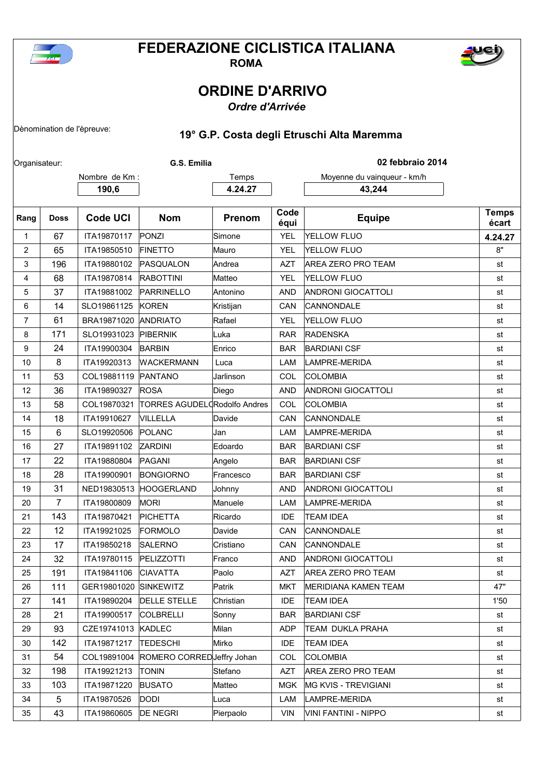

## **FEDERAZIONE CICLISTICA ITALIANA**



**ROMA**

## **ORDINE D'ARRIVO**

*Ordre d'Arrivée*

## Dènomination de l'èpreuve: **19° G.P. Costa degli Etruschi Alta Maremma**

| Organisateur:  |                |                    | G.S. Emilia                  |           |              | 02 febbraio 2014            |                       |
|----------------|----------------|--------------------|------------------------------|-----------|--------------|-----------------------------|-----------------------|
|                |                | Nombre de Km :     |                              | Temps     |              | Moyenne du vainqueur - km/h |                       |
|                |                | 190,6              |                              | 4.24.27   |              | 43,244                      |                       |
| Rang           | <b>Doss</b>    | <b>Code UCI</b>    | <b>Nom</b>                   | Prenom    | Code<br>équi | <b>Equipe</b>               | <b>Temps</b><br>écart |
| 1              | 67             | ITA19870117        | PONZI                        | Simone    | <b>YEL</b>   | YELLOW FLUO                 | 4.24.27               |
| 2              | 65             | ITA19850510        | <b>FINETTO</b>               | Mauro     | <b>YEL</b>   | YELLOW FLUO                 | 8"                    |
| 3              | 196            | ITA19880102        | PASQUALON                    | Andrea    | <b>AZT</b>   | AREA ZERO PRO TEAM          | st                    |
| 4              | 68             | ITA19870814        | <b>RABOTTINI</b>             | Matteo    | <b>YEL</b>   | YELLOW FLUO                 | st                    |
| 5              | 37             | ITA19881002        | PARRINELLO                   | Antonino  | AND          | <b>ANDRONI GIOCATTOLI</b>   | st                    |
| 6              | 14             | SLO19861125        | KOREN                        | Kristijan | CAN          | CANNONDALE                  | st                    |
| $\overline{7}$ | 61             | BRA19871020        | <b>ANDRIATO</b>              | Rafael    | <b>YEL</b>   | YELLOW FLUO                 | st                    |
| 8              | 171            | SLO19931023        | <b>PIBERNIK</b>              | Luka      | <b>RAR</b>   | <b>RADENSKA</b>             | st                    |
| 9              | 24             | ITA19900304        | <b>BARBIN</b>                | Enrico    | <b>BAR</b>   | <b>BARDIANI CSF</b>         | st                    |
| 10             | 8              | ITA19920313        | <b>WACKERMANN</b>            | Luca      | LAM          | LAMPRE-MERIDA               | st                    |
| 11             | 53             | COL19881119        | PANTANO                      | Jarlinson | COL          | <b>COLOMBIA</b>             | st                    |
| 12             | 36             | ITA19890327        | <b>ROSA</b>                  | Diego     | <b>AND</b>   | <b>ANDRONI GIOCATTOLI</b>   | st                    |
| 13             | 58             | COL19870321        | TORRES AGUDEL Rodolfo Andres |           | COL          | COLOMBIA                    | st                    |
| 14             | 18             | ITA19910627        | VILLELLA                     | Davide    | CAN          | <b>CANNONDALE</b>           | st                    |
| 15             | 6              | SLO19920506        | POLANC                       | Jan       | LAM          | LAMPRE-MERIDA               | st                    |
| 16             | 27             | ITA19891102        | <b>ZARDINI</b>               | Edoardo   | <b>BAR</b>   | <b>BARDIANI CSF</b>         | st                    |
| 17             | 22             | ITA19880804        | PAGANI                       | Angelo    | <b>BAR</b>   | <b>BARDIANI CSF</b>         | st                    |
| 18             | 28             | ITA19900901        | <b>BONGIORNO</b>             | Francesco | <b>BAR</b>   | <b>BARDIANI CSF</b>         | st                    |
| 19             | 31             | NED19830513        | <b>HOOGERLAND</b>            | Johnny    | <b>AND</b>   | <b>ANDRONI GIOCATTOLI</b>   | st                    |
| 20             | $\overline{7}$ | ITA19800809        | <b>MORI</b>                  | Manuele   | LAM          | LAMPRE-MERIDA               | st                    |
| 21             | 143            | ITA19870421        | PICHETTA                     | Ricardo   | <b>IDE</b>   | <b>TEAM IDEA</b>            | st                    |
| 22             | 12             | ITA19921025        | FORMOLO                      | Davide    | CAN          | <b>CANNONDALE</b>           | st                    |
| 23             | 17             | ITA19850218        | <b>SALERNO</b>               | Cristiano | <b>CAN</b>   | CANNONDALE                  | st                    |
| 24             | 32             | ITA19780115        | PELIZZOTTI                   | Franco    | <b>AND</b>   | <b>ANDRONI GIOCATTOLI</b>   | st                    |
| 25             | 191            | ITA19841106        | <b>CIAVATTA</b>              | Paolo     | AZT          | AREA ZERO PRO TEAM          | st                    |
| 26             | 111            | GER19801020        | <b>SINKEWITZ</b>             | Patrik    | <b>MKT</b>   | MERIDIANA KAMEN TEAM        | 47"                   |
| 27             | 141            | ITA19890204        | <b>DELLE STELLE</b>          | Christian | <b>IDE</b>   | <b>TEAM IDEA</b>            | 1'50                  |
| 28             | 21             | ITA19900517        | <b>COLBRELLI</b>             | Sonny     | <b>BAR</b>   | <b>BARDIANI CSF</b>         | st                    |
| 29             | 93             | CZE19741013 KADLEC |                              | Milan     | <b>ADP</b>   | TEAM DUKLA PRAHA            | st                    |
| 30             | 142            | ITA19871217        | <b>TEDESCHI</b>              | Mirko     | <b>IDE</b>   | <b>TEAM IDEA</b>            | st                    |
| 31             | 54             | COL19891004        | ROMERO CORREDJeffry Johan    |           | <b>COL</b>   | <b>COLOMBIA</b>             | st                    |
| 32             | 198            | ITA19921213        | <b>TONIN</b>                 | Stefano   | AZT          | <b>AREA ZERO PRO TEAM</b>   | st                    |
| 33             | 103            | ITA19871220        | <b>BUSATO</b>                | Matteo    | <b>MGK</b>   | <b>MG KVIS - TREVIGIANI</b> | st                    |
| 34             | 5              | ITA19870526        | <b>DODI</b>                  | Luca      | LAM          | LAMPRE-MERIDA               | st                    |
| 35             | 43             | ITA19860605        | <b>DE NEGRI</b>              | Pierpaolo | VIN          | VINI FANTINI - NIPPO        | st                    |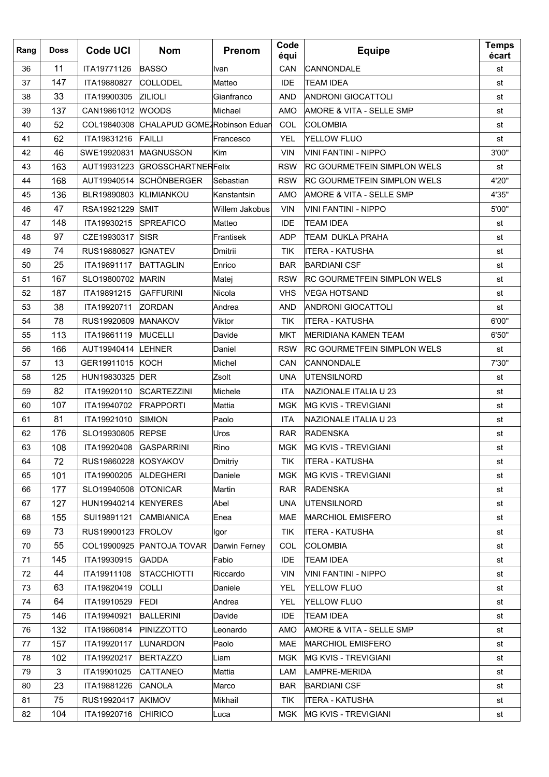| Rang | <b>Doss</b> | <b>Code UCI</b>      | <b>Nom</b>                               | Prenom         | Code<br>équi | <b>Equipe</b>                      | <b>Temps</b><br>écart |
|------|-------------|----------------------|------------------------------------------|----------------|--------------|------------------------------------|-----------------------|
| 36   | 11          | ITA19771126          | <b>BASSO</b>                             | <b>Ivan</b>    | <b>CAN</b>   | CANNONDALE                         | st                    |
| 37   | 147         | ITA19880827          | COLLODEL                                 | Matteo         | <b>IDE</b>   | <b>TEAM IDEA</b>                   | st                    |
| 38   | 33          | ITA19900305          | <b>ZILIOLI</b>                           | Gianfranco     | <b>AND</b>   | <b>ANDRONI GIOCATTOLI</b>          | st                    |
| 39   | 137         | CAN19861012 WOODS    |                                          | Michael        | AMO          | AMORE & VITA - SELLE SMP           | st                    |
| 40   | 52          |                      | COL19840308 CHALAPUD GOME Robinson Eduar |                | COL          | <b>COLOMBIA</b>                    | st                    |
| 41   | 62          | ITA19831216          | <b>FAILLI</b>                            | Francesco      | <b>YEL</b>   | YELLOW FLUO                        | st                    |
| 42   | 46          | SWE19920831          | <b>MAGNUSSON</b>                         | Kim            | <b>VIN</b>   | VINI FANTINI - NIPPO               | 3'00"                 |
| 43   | 163         | AUT19931223          | <b>GROSSCHARTNERFelix</b>                |                | <b>RSW</b>   | <b>RC GOURMETFEIN SIMPLON WELS</b> | st                    |
| 44   | 168         |                      | AUT19940514 SCHÖNBERGER                  | Sebastian      | <b>RSW</b>   | <b>RC GOURMETFEIN SIMPLON WELS</b> | 4'20"                 |
| 45   | 136         | BLR19890803          | KLIMIANKOU                               | Kanstantsin    | AMO          | AMORE & VITA - SELLE SMP           | 4'35"                 |
| 46   | 47          | RSA19921229          | SMIT                                     | Willem Jakobus | <b>VIN</b>   | <b>VINI FANTINI - NIPPO</b>        | 5'00"                 |
| 47   | 148         | ITA19930215          | <b>SPREAFICO</b>                         | Matteo         | <b>IDE</b>   | <b>TEAM IDEA</b>                   | st                    |
| 48   | 97          | CZE19930317          | SISR                                     | Frantisek      | <b>ADP</b>   | TEAM DUKLA PRAHA                   | st                    |
| 49   | 74          | RUS19880627  IGNATEV |                                          | Dmitrii        | <b>TIK</b>   | <b>ITERA - KATUSHA</b>             | st                    |
| 50   | 25          | ITA19891117          | <b>BATTAGLIN</b>                         | Enrico         | <b>BAR</b>   | <b>BARDIANI CSF</b>                | st                    |
| 51   | 167         | SLO19800702          | <b>MARIN</b>                             | Matej          | <b>RSW</b>   | <b>RC GOURMETFEIN SIMPLON WELS</b> | st                    |
| 52   | 187         | ITA19891215          | <b>GAFFURINI</b>                         | Nicola         | <b>VHS</b>   | VEGA HOTSAND                       | st                    |
| 53   | 38          | ITA19920711          | <b>ZORDAN</b>                            | Andrea         | <b>AND</b>   | ANDRONI GIOCATTOLI                 | st                    |
| 54   | 78          | RUS19920609          | <b>IMANAKOV</b>                          | Viktor         | <b>TIK</b>   | <b>ITERA - KATUSHA</b>             | 6'00"                 |
| 55   | 113         | ITA19861119          | <b>MUCELLI</b>                           | Davide         | <b>MKT</b>   | MERIDIANA KAMEN TEAM               | 6'50"                 |
| 56   | 166         | AUT19940414          | <b>LEHNER</b>                            | Daniel         | <b>RSW</b>   | <b>RC GOURMETFEIN SIMPLON WELS</b> | st                    |
| 57   | 13          | GER19911015 KOCH     |                                          | Michel         | CAN          | CANNONDALE                         | 7'30"                 |
| 58   | 125         | HUN19830325          | <b>IDER</b>                              | Zsolt          | <b>UNA</b>   | <b>UTENSILNORD</b>                 | st                    |
| 59   | 82          | ITA19920110          | <b>SCARTEZZINI</b>                       | Michele        | <b>ITA</b>   | NAZIONALE ITALIA U 23              | st                    |
| 60   | 107         | ITA19940702          | <b>FRAPPORTI</b>                         | Mattia         | <b>MGK</b>   | <b>IMG KVIS - TREVIGIANI</b>       | st                    |
| 61   | 81          | ITA19921010          | <b>SIMION</b>                            | Paolo          | <b>ITA</b>   | NAZIONALE ITALIA U 23              | st                    |
| 62   | 176         | SLO19930805          | <b>REPSE</b>                             | Uros           | <b>RAR</b>   | <b>RADENSKA</b>                    | st                    |
| 63   | 108         | ITA19920408          | <b>GASPARRINI</b>                        | Rino           | <b>MGK</b>   | <b>MG KVIS - TREVIGIANI</b>        | st                    |
| 64   | 72          | RUS19860228 KOSYAKOV |                                          | Dmitriy        | <b>TIK</b>   | <b>ITERA - KATUSHA</b>             | st                    |
| 65   | 101         | ITA19900205          | <b>ALDEGHERI</b>                         | Daniele        | MGK          | MG KVIS - TREVIGIANI               | st                    |
| 66   | 177         | SLO19940508 OTONICAR |                                          | Martin         | <b>RAR</b>   | <b>RADENSKA</b>                    | st                    |
| 67   | 127         | HUN19940214 KENYERES |                                          | Abel           | <b>UNA</b>   | UTENSILNORD                        | st                    |
| 68   | 155         | SUI19891121          | CAMBIANICA                               | Enea           | MAE          | <b>MARCHIOL EMISFERO</b>           | st                    |
| 69   | 73          | RUS19900123 FROLOV   |                                          | lgor           | TIK          | ITERA - KATUSHA                    | st                    |
| 70   | 55          | COL19900925          | <b>PANTOJA TOVAR</b>                     | Darwin Ferney  | COL          | <b>COLOMBIA</b>                    | st                    |
| 71   | 145         | ITA19930915          | <b>GADDA</b>                             | Fabio          | IDE          | <b>TEAM IDEA</b>                   | st                    |
| 72   | 44          | ITA19911108          | STACCHIOTTI                              | Riccardo       | <b>VIN</b>   | VINI FANTINI - NIPPO               | st                    |
| 73   | 63          | ITA19820419          | <b>COLLI</b>                             | Daniele        | <b>YEL</b>   | YELLOW FLUO                        | st                    |
| 74   | 64          | ITA19910529          | FEDI                                     | Andrea         | <b>YEL</b>   | YELLOW FLUO                        | st                    |
| 75   | 146         | ITA19940921          | <b>BALLERINI</b>                         | Davide         | <b>IDE</b>   | <b>TEAM IDEA</b>                   | st                    |
| 76   | 132         | ITA19860814          | PINIZZOTTO                               | Leonardo       | <b>AMO</b>   | AMORE & VITA - SELLE SMP           | st                    |
| 77   | 157         | ITA19920117          | LUNARDON                                 | Paolo          | <b>MAE</b>   | <b>MARCHIOL EMISFERO</b>           | st                    |
| 78   | 102         | ITA19920217          | <b>BERTAZZO</b>                          | Liam           | <b>MGK</b>   | MG KVIS - TREVIGIANI               | st                    |
| 79   | 3           | ITA19901025          | CATTANEO                                 | Mattia         | LAM          | LAMPRE-MERIDA                      | st                    |
| 80   | 23          | ITA19881226          | CANOLA                                   | Marco          | <b>BAR</b>   | <b>BARDIANI CSF</b>                | st                    |
| 81   | 75          | RUS19920417 AKIMOV   |                                          | Mikhail        | TIK          | ITERA - KATUSHA                    | st                    |
| 82   | 104         | ITA19920716          | <b>CHIRICO</b>                           | Luca           | <b>MGK</b>   | MG KVIS - TREVIGIANI               | st                    |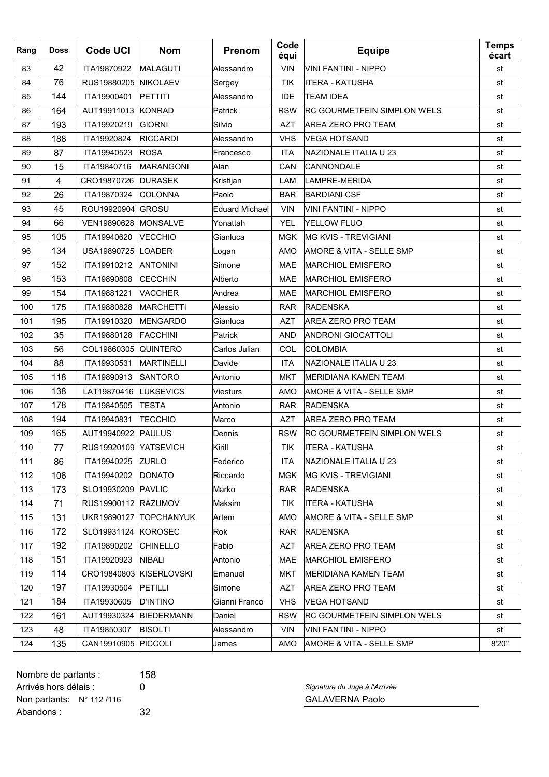| Rang | <b>Doss</b> | <b>Code UCI</b>       | <b>Nom</b>              | Prenom                | Code<br>équi | <b>Equipe</b>                       | <b>Temps</b><br>écart |
|------|-------------|-----------------------|-------------------------|-----------------------|--------------|-------------------------------------|-----------------------|
| 83   | 42          | ITA19870922           | <b>MALAGUTI</b>         | Alessandro            | <b>VIN</b>   | VINI FANTINI - NIPPO                | st                    |
| 84   | 76          | RUS19880205           | <b>INIKOLAEV</b>        | Sergey                | TIK          | IITERA - KATUSHA                    | st                    |
| 85   | 144         | ITA19900401           | PETTITI                 | Alessandro            | IDE          | <b>TEAM IDEA</b>                    | st                    |
| 86   | 164         | AUT19911013           | KONRAD                  | Patrick               | <b>RSW</b>   | <b>RC GOURMETFEIN SIMPLON WELS</b>  | st                    |
| 87   | 193         | ITA19920219           | GIORNI                  | Silvio                | <b>AZT</b>   | <b>AREA ZERO PRO TEAM</b>           | st                    |
| 88   | 188         | ITA19920824           | <b>RICCARDI</b>         | Alessandro            | <b>VHS</b>   | <b>VEGA HOTSAND</b>                 | st                    |
| 89   | 87          | ITA19940523           | ROSA                    | Francesco             | <b>ITA</b>   | NAZIONALE ITALIA U 23               | st                    |
| 90   | 15          | ITA19840716           | <b>MARANGONI</b>        | Alan                  | CAN          | CANNONDALE                          | st                    |
| 91   | 4           | CRO19870726           | <b>DURASEK</b>          | Kristijan             | LAM          | LAMPRE-MERIDA                       | st                    |
| 92   | 26          | ITA19870324           | COLONNA                 | Paolo                 | <b>BAR</b>   | <b>BARDIANI CSF</b>                 | st                    |
| 93   | 45          | ROU19920904           | <b>GROSU</b>            | <b>Eduard Michael</b> | <b>VIN</b>   | VINI FANTINI - NIPPO                | st                    |
| 94   | 66          | VEN19890628           | MONSALVE                | Yonattah              | <b>YEL</b>   | YELLOW FLUO                         | st                    |
| 95   | 105         | ITA19940620           | <b>VECCHIO</b>          | Gianluca              | <b>MGK</b>   | <b>IMG KVIS - TREVIGIANI</b>        | st                    |
| 96   | 134         | USA19890725           | LOADER                  | Logan                 | AMO          | <b>AMORE &amp; VITA - SELLE SMP</b> | st                    |
| 97   | 152         | ITA19910212           | <b>ANTONINI</b>         | Simone                | <b>MAE</b>   | <b>MARCHIOL EMISFERO</b>            | st                    |
| 98   | 153         | ITA19890808           | <b>CECCHIN</b>          | Alberto               | MAE          | <b>MARCHIOL EMISFERO</b>            | st                    |
| 99   | 154         | ITA19881221           | VACCHER                 | Andrea                | <b>MAE</b>   | <b>MARCHIOL EMISFERO</b>            | st                    |
| 100  | 175         | ITA19880828           | <b>MARCHETTI</b>        | Alessio               | <b>RAR</b>   | <b>RADENSKA</b>                     | st                    |
| 101  | 195         | ITA19910320           | MENGARDO                | Gianluca              | <b>AZT</b>   | <b>AREA ZERO PRO TEAM</b>           | st                    |
| 102  | 35          | ITA19880128           | <b>FACCHINI</b>         | Patrick               | <b>AND</b>   | <b>ANDRONI GIOCATTOLI</b>           | st                    |
| 103  | 56          | COL19860305           | <b>QUINTERO</b>         | Carlos Julian         | COL          | <b>COLOMBIA</b>                     | st                    |
| 104  | 88          | ITA19930531           | <b>MARTINELLI</b>       | Davide                | <b>ITA</b>   | NAZIONALE ITALIA U 23               | st                    |
| 105  | 118         | ITA19890913           | <b>SANTORO</b>          | Antonio               | <b>MKT</b>   | MERIDIANA KAMEN TEAM                | st                    |
| 106  | 138         | LAT19870416           | LUKSEVICS               | <b>Viesturs</b>       | AMO          | AMORE & VITA - SELLE SMP            | st                    |
| 107  | 178         | ITA19840505           | <b>TESTA</b>            | Antonio               | <b>RAR</b>   | <b>RADENSKA</b>                     | st                    |
| 108  | 194         | ITA19940831           | <b>TECCHIO</b>          | Marco                 | <b>AZT</b>   | <b>AREA ZERO PRO TEAM</b>           | st                    |
| 109  | 165         | AUT19940922           | PAULUS                  | Dennis                | <b>RSW</b>   | <b>RC GOURMETFEIN SIMPLON WELS</b>  | st                    |
| 110  | 77          | RUS19920109 YATSEVICH |                         | Kirill                | TIK          | ITERA - KATUSHA                     | st                    |
| 111  | 86          | ITA19940225 ZURLO     |                         | Federico              | <b>ITA</b>   | NAZIONALE ITALIA U 23               | st                    |
| 112  | 106         | ITA19940202           | <b>DONATO</b>           | Riccardo              | MGK          | <b>MG KVIS - TREVIGIANI</b>         | st                    |
| 113  | 173         | SLO19930209   PAVLIC  |                         | Marko                 | <b>RAR</b>   | <b>RADENSKA</b>                     | st                    |
| 114  | 71          | RUS19900112 RAZUMOV   |                         | Maksim                | <b>TIK</b>   | ITERA - KATUSHA                     | st                    |
| 115  | 131         |                       | UKR19890127 TOPCHANYUK  | Artem                 | AMO          | AMORE & VITA - SELLE SMP            | st                    |
| 116  | 172         | SLO19931124 KOROSEC   |                         | Rok                   | RAR          | <b>RADENSKA</b>                     | st                    |
| 117  | 192         | ITA19890202           | <b>CHINELLO</b>         | Fabio                 | <b>AZT</b>   | AREA ZERO PRO TEAM                  | st                    |
| 118  | 151         | ITA19920923           | NIBALI                  | Antonio               | MAE          | <b>MARCHIOL EMISFERO</b>            | st                    |
| 119  | 114         |                       | CRO19840803 KISERLOVSKI | Emanuel               | MKT          | MERIDIANA KAMEN TEAM                | st                    |
| 120  | 197         | ITA19930504           | PETILLI                 | Simone                | <b>AZT</b>   | AREA ZERO PRO TEAM                  | st                    |
| 121  | 184         | ITA19930605           | <b>D'INTINO</b>         | Gianni Franco         | <b>VHS</b>   | VEGA HOTSAND                        | st                    |
| 122  | 161         |                       | AUT19930324 BIEDERMANN  | Daniel                | <b>RSW</b>   | <b>RC GOURMETFEIN SIMPLON WELS</b>  | st                    |
| 123  | 48          | ITA19850307           | <b>BISOLTI</b>          | Alessandro            | <b>VIN</b>   | VINI FANTINI - NIPPO                | st                    |
| 124  | 135         | CAN19910905 PICCOLI   |                         | James                 | AMO          | AMORE & VITA - SELLE SMP            | 8'20"                 |

Nombre de partants : 158 Arrivés hors délais : 0 *Signature du Juge à l'Arrivée* Non partants: N° 112/116 CALAVERNA Paolo Abandons : 32